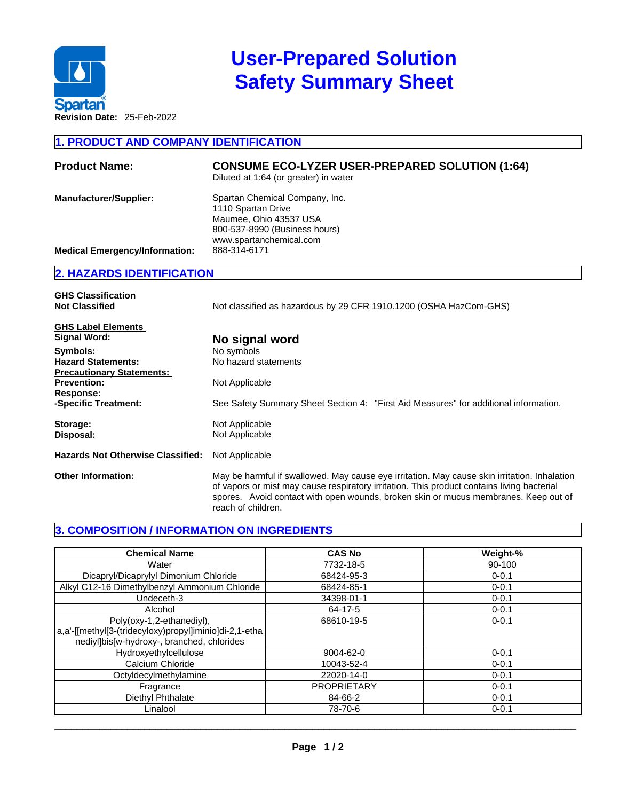

# **User-Prepared Solution Safety Summary Sheet**

**1. PRODUCT AND COMPANY IDENTIFICATION** 

| <b>Product Name:</b>                                                   | <b>CONSUME ECO-LYZER USER-PREPARED SOLUTION (1:64)</b><br>Diluted at 1:64 (or greater) in water                                                            |
|------------------------------------------------------------------------|------------------------------------------------------------------------------------------------------------------------------------------------------------|
| <b>Manufacturer/Supplier:</b><br><b>Medical Emergency/Information:</b> | Spartan Chemical Company, Inc.<br>1110 Spartan Drive<br>Maumee, Ohio 43537 USA<br>800-537-8990 (Business hours)<br>www.spartanchemical.com<br>888-314-6171 |

### **2. HAZARDS IDENTIFICATION**

| <b>GHS Classification</b><br><b>Not Classified</b>                  | Not classified as hazardous by 29 CFR 1910.1200 (OSHA HazCom-GHS)                                                                                                                                                                                                                                       |  |  |  |
|---------------------------------------------------------------------|---------------------------------------------------------------------------------------------------------------------------------------------------------------------------------------------------------------------------------------------------------------------------------------------------------|--|--|--|
| <b>GHS Label Elements</b><br>Signal Word:                           | No signal word                                                                                                                                                                                                                                                                                          |  |  |  |
| Symbols:                                                            | No symbols                                                                                                                                                                                                                                                                                              |  |  |  |
| <b>Hazard Statements:</b>                                           | No hazard statements                                                                                                                                                                                                                                                                                    |  |  |  |
| <b>Precautionary Statements:</b><br><b>Prevention:</b><br>Response: | Not Applicable                                                                                                                                                                                                                                                                                          |  |  |  |
| -Specific Treatment:                                                | See Safety Summary Sheet Section 4: "First Aid Measures" for additional information.                                                                                                                                                                                                                    |  |  |  |
| Storage:<br>Disposal:                                               | Not Applicable<br>Not Applicable                                                                                                                                                                                                                                                                        |  |  |  |
| <b>Hazards Not Otherwise Classified:</b>                            | Not Applicable                                                                                                                                                                                                                                                                                          |  |  |  |
| <b>Other Information:</b>                                           | May be harmful if swallowed. May cause eye irritation. May cause skin irritation. Inhalation<br>of vapors or mist may cause respiratory irritation. This product contains living bacterial<br>spores. Avoid contact with open wounds, broken skin or mucus membranes. Keep out of<br>reach of children. |  |  |  |

## **3. COMPOSITION / INFORMATION ON INGREDIENTS**

| <b>Chemical Name</b>                                                                                                              | <b>CAS No</b>      | Weight-%  |
|-----------------------------------------------------------------------------------------------------------------------------------|--------------------|-----------|
| Water                                                                                                                             | 7732-18-5          | 90-100    |
| Dicapryl/Dicaprylyl Dimonium Chloride                                                                                             | 68424-95-3         | $0 - 0.1$ |
| Alkyl C12-16 Dimethylbenzyl Ammonium Chloride                                                                                     | 68424-85-1         | $0 - 0.1$ |
| Undeceth-3                                                                                                                        | 34398-01-1         | $0 - 0.1$ |
| Alcohol                                                                                                                           | 64-17-5            | $0 - 0.1$ |
| Poly(oxy-1,2-ethanediyl),<br>a,a'-[[methyl[3-(tridecyloxy)propyl]iminio]di-2,1-etha<br>nediyl]bis[w-hydroxy-, branched, chlorides | 68610-19-5         | $0 - 0.1$ |
| Hydroxyethylcellulose                                                                                                             | $9004 - 62 - 0$    | $0 - 0.1$ |
| Calcium Chloride                                                                                                                  | 10043-52-4         | $0 - 0.1$ |
| Octyldecylmethylamine                                                                                                             | 22020-14-0         | $0 - 0.1$ |
| Fragrance                                                                                                                         | <b>PROPRIETARY</b> | $0 - 0.1$ |
| Diethyl Phthalate                                                                                                                 | 84-66-2            | $0 - 0.1$ |
| Linalool                                                                                                                          | 78-70-6            | $0 - 0.1$ |

 $\_$  ,  $\_$  ,  $\_$  ,  $\_$  ,  $\_$  ,  $\_$  ,  $\_$  ,  $\_$  ,  $\_$  ,  $\_$  ,  $\_$  ,  $\_$  ,  $\_$  ,  $\_$  ,  $\_$  ,  $\_$  ,  $\_$  ,  $\_$  ,  $\_$  ,  $\_$  ,  $\_$  ,  $\_$  ,  $\_$  ,  $\_$  ,  $\_$  ,  $\_$  ,  $\_$  ,  $\_$  ,  $\_$  ,  $\_$  ,  $\_$  ,  $\_$  ,  $\_$  ,  $\_$  ,  $\_$  ,  $\_$  ,  $\_$  ,